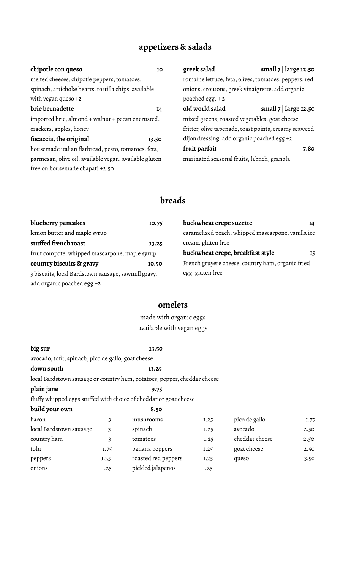# **appetizers & salads**

| chipotle con queso                                     | 10    | greek salad                                   | small $7$   large 12.50                               |
|--------------------------------------------------------|-------|-----------------------------------------------|-------------------------------------------------------|
| melted cheeses, chipotle peppers, tomatoes,            |       |                                               | romaine lettuce, feta, olives, tomatoes, peppers, red |
| spinach, artichoke hearts. tortilla chips. available   |       |                                               | onions, croutons, greek vinaigrette. add organic      |
| with vegan queso $+2$                                  |       | poached egg, $+2$                             |                                                       |
| brie bernadette                                        | 14    | old world salad                               | small $7$   large 12.50                               |
| imported brie, almond + walnut + pecan encrusted.      |       | mixed greens, roasted vegetables, goat cheese |                                                       |
| crackers, apples, honey                                |       |                                               | fritter, olive tapenade, toast points, creamy seaweed |
| focaccia, the original                                 | 13.50 | dijon dressing. add organic poached egg +2    |                                                       |
| housemade italian flatbread, pesto, tomatoes, feta,    |       | fruit parfait                                 | 7.80                                                  |
| parmesan, olive oil. available vegan. available gluten |       | marinated seasonal fruits, labneh, granola    |                                                       |
| free on housemade chapati +2.50                        |       |                                               |                                                       |
|                                                        |       |                                               |                                                       |

## **breads**

| blueberry pancakes                                  | 10.75 | buckwheat crepe suzette                            | 14 |  |
|-----------------------------------------------------|-------|----------------------------------------------------|----|--|
| lemon butter and maple syrup                        |       | caramelized peach, whipped mascarpone, vanilla ice |    |  |
| stuffed french toast                                | 13.25 | cream. gluten free                                 |    |  |
| fruit compote, whipped mascarpone, maple syrup      |       | buckwheat crepe, breakfast style<br>15             |    |  |
| country biscuits & gravy                            | 10.50 | French gruyere cheese, country ham, organic fried  |    |  |
| 3 biscuits, local Bardstown sausage, sawmill gravy. |       | egg. gluten free                                   |    |  |
| add organic poached egg +2                          |       |                                                    |    |  |

### **omelets**

made with organic eggs available with vegan eggs

| big sur                                            |       | 13.50                                                                    |      |                |      |
|----------------------------------------------------|-------|--------------------------------------------------------------------------|------|----------------|------|
| avocado, tofu, spinach, pico de gallo, goat cheese |       |                                                                          |      |                |      |
| down south                                         | 13.25 |                                                                          |      |                |      |
|                                                    |       | local Bardstown sausage or country ham, potatoes, pepper, cheddar cheese |      |                |      |
| plain jane                                         |       | 9.75                                                                     |      |                |      |
|                                                    |       | fluffy whipped eggs stuffed with choice of cheddar or goat cheese        |      |                |      |
| build your own                                     |       | 8.50                                                                     |      |                |      |
| bacon                                              | 3     | mushrooms                                                                | 1.25 | pico de gallo  | 1.75 |
| local Bardstown sausage                            | 3     | spinach                                                                  | 1.25 | avocado        | 2.50 |
| country ham                                        | 3     | tomatoes                                                                 | 1.25 | cheddar cheese | 2.50 |
| tofu                                               | 1.75  | banana peppers                                                           | 1.25 | goat cheese    | 2.50 |
| peppers                                            | 1.25  | roasted red peppers                                                      | 1.25 | queso          | 3.50 |
| onions                                             | 1.25  | pickled jalapenos                                                        | 1.25 |                |      |